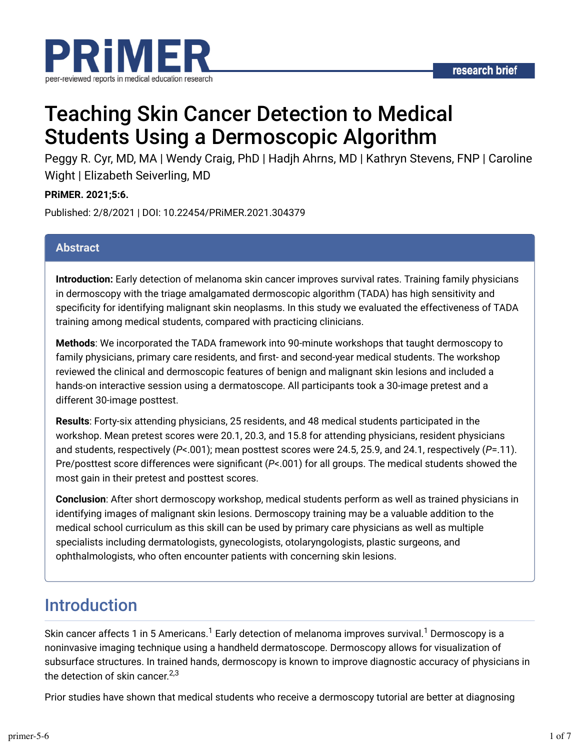

# Teaching Skin Cancer Detection to Medical Students Using a Dermoscopic Algorithm

Peggy R. Cyr, MD, MA | Wendy Craig, PhD | Hadjh Ahrns, MD | Kathryn Stevens, FNP | Caroline Wight | Elizabeth Seiverling, MD

#### **PRiMER. 2021;5:6.**

Published: 2/8/2021 | DOI: 10.22454/PRiMER.2021.304379

#### **Abstract**

**Introduction:** Early detection of melanoma skin cancer improves survival rates. Training family physicians in dermoscopy with the triage amalgamated dermoscopic algorithm (TADA) has high sensitivity and specificity for identifying malignant skin neoplasms. In this study we evaluated the effectiveness of TADA training among medical students, compared with practicing clinicians.

**Methods**: We incorporated the TADA framework into 90-minute workshops that taught dermoscopy to family physicians, primary care residents, and first- and second-year medical students. The workshop reviewed the clinical and dermoscopic features of benign and malignant skin lesions and included a hands-on interactive session using a dermatoscope. All participants took a 30-image pretest and a different 30-image posttest.

**Results**: Forty-six attending physicians, 25 residents, and 48 medical students participated in the workshop. Mean pretest scores were 20.1, 20.3, and 15.8 for attending physicians, resident physicians and students, respectively (*P*<.001); mean posttest scores were 24.5, 25.9, and 24.1, respectively (*P*=.11). Pre/posttest score differences were significant (P<.001) for all groups. The medical students showed the most gain in their pretest and posttest scores.

**Conclusion**: After short dermoscopy workshop, medical students perform as well as trained physicians in identifying images of malignant skin lesions. Dermoscopy training may be a valuable addition to the medical school curriculum as this skill can be used by primary care physicians as well as multiple specialists including dermatologists, gynecologists, otolaryngologists, plastic surgeons, and ophthalmologists, who often encounter patients with concerning skin lesions.

### Introduction

Skin cancer affects 1 in 5 Americans. $^1$  Early detection of melanoma improves survival. $^1$  Dermoscopy is a noninvasive imaging technique using a handheld dermatoscope. Dermoscopy allows for visualization of subsurface structures. In trained hands, dermoscopy is known to improve diagnostic accuracy of physicians in the detection of skin cancer.<sup>2,3</sup>

Prior studies have shown that medical students who receive a dermoscopy tutorial are better at diagnosing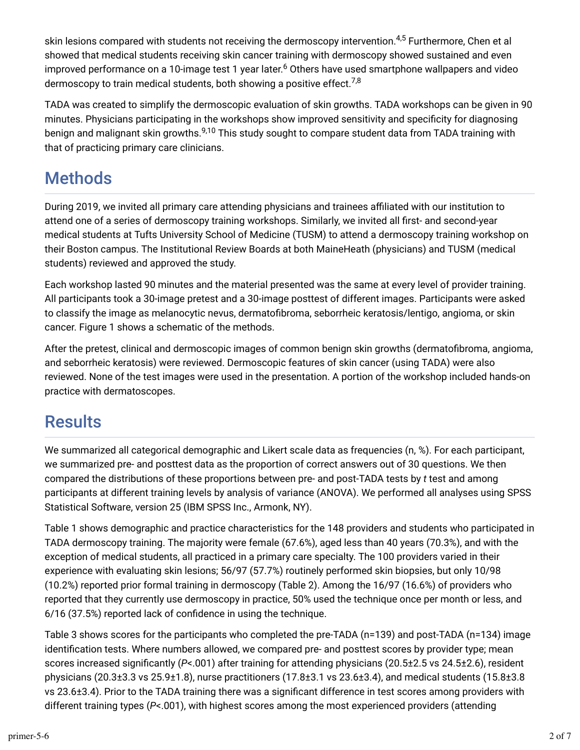skin lesions compared with students not receiving the dermoscopy intervention.<sup>4,5</sup> Furthermore, Chen et al showed that medical students receiving skin cancer training with dermoscopy showed sustained and even improved performance on a 10-image test 1 year later.<sup>6</sup> Others have used smartphone wallpapers and video dermoscopy to train medical students, both showing a positive effect. $^{7,8}$ 

TADA was created to simplify the dermoscopic evaluation of skin growths. TADA workshops can be given in 90 minutes. Physicians participating in the workshops show improved sensitivity and specificity for diagnosing benign and malignant skin growths.<sup>9,10</sup> This study sought to compare student data from TADA training with that of practicing primary care clinicians.

# **Methods**

During 2019, we invited all primary care attending physicians and trainees affiliated with our institution to attend one of a series of dermoscopy training workshops. Similarly, we invited all first- and second-year medical students at Tufts University School of Medicine (TUSM) to attend a dermoscopy training workshop on their Boston campus. The Institutional Review Boards at both MaineHeath (physicians) and TUSM (medical students) reviewed and approved the study.

Each workshop lasted 90 minutes and the material presented was the same at every level of provider training. All participants took a 30-image pretest and a 30-image posttest of different images. Participants were asked to classify the image as melanocytic nevus, dermatofibroma, seborrheic keratosis/lentigo, angioma, or skin cancer. Figure 1 shows a schematic of the methods.

After the pretest, clinical and dermoscopic images of common benign skin growths (dermatofibroma, angioma, and seborrheic keratosis) were reviewed. Dermoscopic features of skin cancer (using TADA) were also reviewed. None of the test images were used in the presentation. A portion of the workshop included hands-on practice with dermatoscopes.

# **Results**

We summarized all categorical demographic and Likert scale data as frequencies (n, %). For each participant, we summarized pre- and posttest data as the proportion of correct answers out of 30 questions. We then compared the distributions of these proportions between pre- and post-TADA tests by *t* test and among participants at different training levels by analysis of variance (ANOVA). We performed all analyses using SPSS Statistical Software, version 25 (IBM SPSS Inc., Armonk, NY).

Table 1 shows demographic and practice characteristics for the 148 providers and students who participated in TADA dermoscopy training. The majority were female (67.6%), aged less than 40 years (70.3%), and with the exception of medical students, all practiced in a primary care specialty. The 100 providers varied in their experience with evaluating skin lesions; 56/97 (57.7%) routinely performed skin biopsies, but only 10/98 (10.2%) reported prior formal training in dermoscopy (Table 2). Among the 16/97 (16.6%) of providers who reported that they currently use dermoscopy in practice, 50% used the technique once per month or less, and 6/16 (37.5%) reported lack of confidence in using the technique.

Table 3 shows scores for the participants who completed the pre-TADA (n=139) and post-TADA (n=134) image identification tests. Where numbers allowed, we compared pre- and posttest scores by provider type; mean scores increased significantly (*P*<.001) after training for attending physicians (20.5±2.5 vs 24.5±2.6), resident physicians (20.3±3.3 vs 25.9±1.8), nurse practitioners (17.8±3.1 vs 23.6±3.4), and medical students (15.8±3.8 vs 23.6±3.4). Prior to the TADA training there was a significant difference in test scores among providers with different training types (*P*<.001), with highest scores among the most experienced providers (attending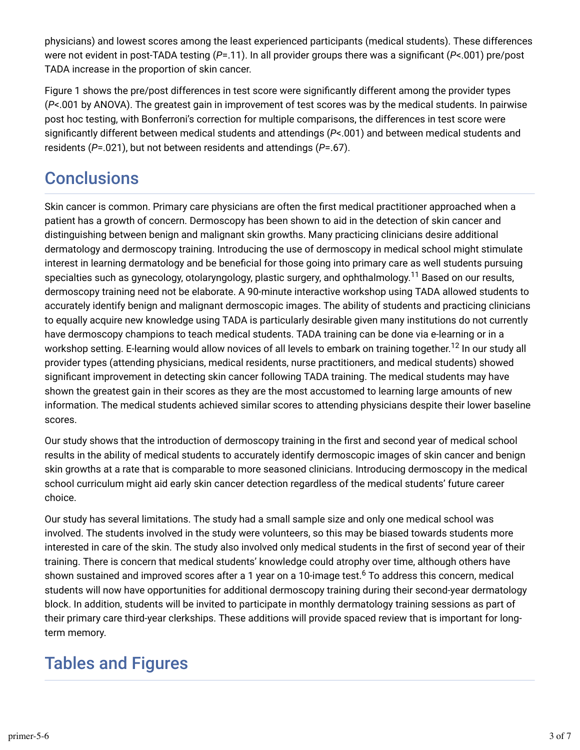physicians) and lowest scores among the least experienced participants (medical students). These differences were not evident in post-TADA testing (P=.11). In all provider groups there was a significant (P<.001) pre/post TADA increase in the proportion of skin cancer.

Figure 1 shows the pre/post differences in test score were significantly different among the provider types (*P*<.001 by ANOVA). The greatest gain in improvement of test scores was by the medical students. In pairwise post hoc testing, with Bonferroni's correction for multiple comparisons, the differences in test score were significantly different between medical students and attendings (P<.001) and between medical students and residents (*P*=.021), but not between residents and attendings (*P*=.67).

# **Conclusions**

Skin cancer is common. Primary care physicians are often the first medical practitioner approached when a patient has a growth of concern. Dermoscopy has been shown to aid in the detection of skin cancer and distinguishing between benign and malignant skin growths. Many practicing clinicians desire additional dermatology and dermoscopy training. Introducing the use of dermoscopy in medical school might stimulate interest in learning dermatology and be beneficial for those going into primary care as well students pursuing specialties such as gynecology, otolaryngology, plastic surgery, and ophthalmology. $^{11}$  Based on our results, dermoscopy training need not be elaborate. A 90-minute interactive workshop using TADA allowed students to accurately identify benign and malignant dermoscopic images. The ability of students and practicing clinicians to equally acquire new knowledge using TADA is particularly desirable given many institutions do not currently have dermoscopy champions to teach medical students. TADA training can be done via e-learning or in a workshop setting. E-learning would allow novices of all levels to embark on training together.<sup>12</sup> In our study all provider types (attending physicians, medical residents, nurse practitioners, and medical students) showed significant improvement in detecting skin cancer following TADA training. The medical students may have shown the greatest gain in their scores as they are the most accustomed to learning large amounts of new information. The medical students achieved similar scores to attending physicians despite their lower baseline scores.

Our study shows that the introduction of dermoscopy training in the first and second year of medical school results in the ability of medical students to accurately identify dermoscopic images of skin cancer and benign skin growths at a rate that is comparable to more seasoned clinicians. Introducing dermoscopy in the medical school curriculum might aid early skin cancer detection regardless of the medical students' future career choice.

Our study has several limitations. The study had a small sample size and only one medical school was involved. The students involved in the study were volunteers, so this may be biased towards students more interested in care of the skin. The study also involved only medical students in the first of second year of their training. There is concern that medical students' knowledge could atrophy over time, although others have shown sustained and improved scores after a 1 year on a 10-image test. $^6$  To address this concern, medical students will now have opportunities for additional dermoscopy training during their second-year dermatology block. In addition, students will be invited to participate in monthly dermatology training sessions as part of their primary care third-year clerkships. These additions will provide spaced review that is important for longterm memory.

# Tables and Figures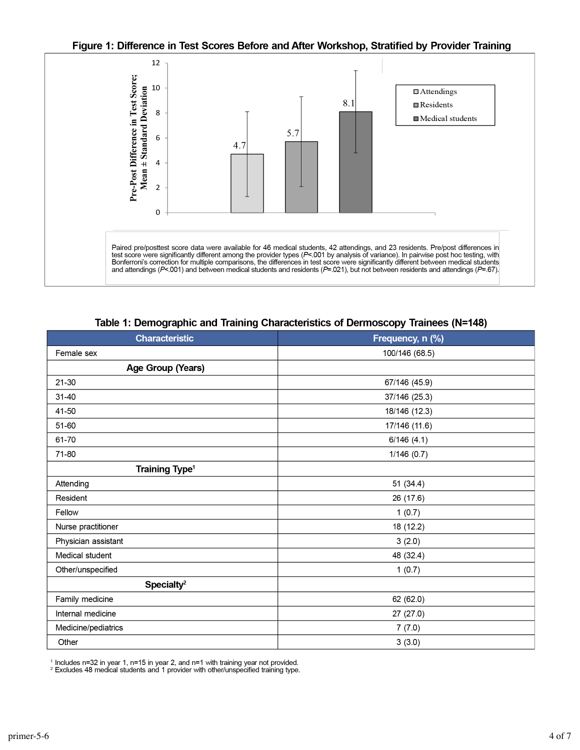#### Figure 1: Difference in Test Scores Before and After Workshop, Stratified by Provider Training



Table 1: Demographic and Training Characteristics of Dermoscopy Trainees (N=148)

| <b>Characteristic</b>      | Frequency, n (%) |
|----------------------------|------------------|
| Female sex                 | 100/146 (68.5)   |
| Age Group (Years)          |                  |
| $21 - 30$                  | 67/146 (45.9)    |
| 31-40                      | 37/146 (25.3)    |
| 41-50                      | 18/146 (12.3)    |
| 51-60                      | 17/146 (11.6)    |
| 61-70                      | 6/146(4.1)       |
| 71-80                      | 1/146(0.7)       |
| Training Type <sup>1</sup> |                  |
| Attending                  | 51 (34.4)        |
| Resident                   | 26 (17.6)        |
| Fellow                     | 1(0.7)           |
| Nurse practitioner         | 18 (12.2)        |
| Physician assistant        | 3(2.0)           |
| Medical student            | 48 (32.4)        |
| Other/unspecified          | 1(0.7)           |
| Specialty <sup>2</sup>     |                  |
| Family medicine            | 62 (62.0)        |
| Internal medicine          | 27 (27.0)        |
| Medicine/pediatrics        | 7(7.0)           |
| Other                      | 3(3.0)           |

<sup>1</sup> Includes n=32 in year 1, n=15 in year 2, and n=1 with training year not provided.

<sup>2</sup> Excludes 48 medical students and 1 provider with other/unspecified training type.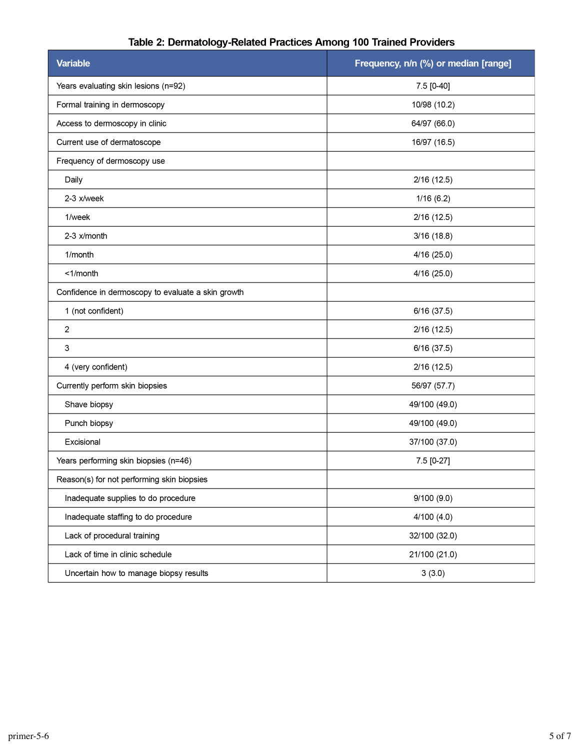| <b>Variable</b>                                    | Frequency, n/n (%) or median [range] |
|----------------------------------------------------|--------------------------------------|
| Years evaluating skin lesions (n=92)               | 7.5 [0-40]                           |
| Formal training in dermoscopy                      | 10/98 (10.2)                         |
| Access to dermoscopy in clinic                     | 64/97 (66.0)                         |
| Current use of dermatoscope                        | 16/97 (16.5)                         |
| Frequency of dermoscopy use                        |                                      |
| Daily                                              | 2/16(12.5)                           |
| 2-3 x/week                                         | 1/16(6.2)                            |
| 1/week                                             | 2/16(12.5)                           |
| 2-3 x/month                                        | 3/16(18.8)                           |
| 1/month                                            | 4/16(25.0)                           |
| $<$ 1/month                                        | 4/16(25.0)                           |
| Confidence in dermoscopy to evaluate a skin growth |                                      |
| 1 (not confident)                                  | 6/16(37.5)                           |
| 2                                                  | 2/16(12.5)                           |
| 3                                                  | 6/16(37.5)                           |
| 4 (very confident)                                 | 2/16(12.5)                           |
| Currently perform skin biopsies                    | 56/97 (57.7)                         |
| Shave biopsy                                       | 49/100 (49.0)                        |
| Punch biopsy                                       | 49/100 (49.0)                        |
| Excisional                                         | 37/100 (37.0)                        |
| Years performing skin biopsies (n=46)              | 7.5 [0-27]                           |
| Reason(s) for not performing skin biopsies         |                                      |
| Inadequate supplies to do procedure                | 9/100(9.0)                           |
| Inadequate staffing to do procedure                | 4/100(4.0)                           |
| Lack of procedural training                        | 32/100 (32.0)                        |
| Lack of time in clinic schedule                    | 21/100 (21.0)                        |
| Uncertain how to manage biopsy results             | 3(3.0)                               |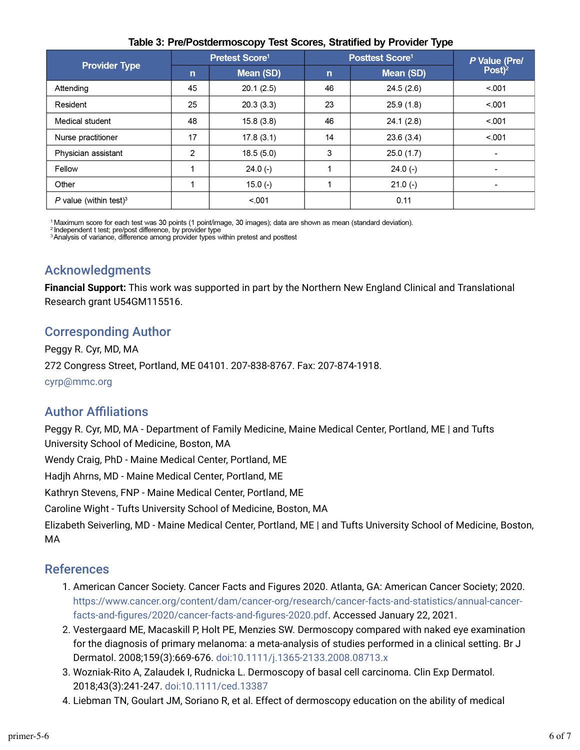| <b>Provider Type</b>               | Pretest Score <sup>1</sup> |           | <b>Posttest Score1</b> |                  | P Value (Pre/            |
|------------------------------------|----------------------------|-----------|------------------------|------------------|--------------------------|
|                                    | $\mathsf{n}$               | Mean (SD) | $\mathsf{n}$           | <b>Mean (SD)</b> | $Post)^2$                |
| Attending                          | 45                         | 20.1(2.5) | 46                     | 24.5(2.6)        | < 0.01                   |
| Resident                           | 25                         | 20.3(3.3) | 23                     | 25.9(1.8)        | < 0.001                  |
| Medical student                    | 48                         | 15.8(3.8) | 46                     | 24.1(2.8)        | < 0.01                   |
| Nurse practitioner                 | 17                         | 17.8(3.1) | 14                     | 23.6(3.4)        | < 0.001                  |
| Physician assistant                | 2                          | 18.5(5.0) | 3                      | 25.0(1.7)        |                          |
| Fellow                             |                            | $24.0(-)$ |                        | $24.0(-)$        | $\overline{\phantom{0}}$ |
| Other                              |                            | $15.0(-)$ |                        | $21.0(-)$        |                          |
| P value (within test) <sup>3</sup> |                            | < 001     |                        | 0.11             |                          |

#### Table 3: Pre/Postdermoscopy Test Scores, Stratified by Provider Type

<sup>1</sup> Maximum score for each test was 30 points (1 point/image, 30 images); data are shown as mean (standard deviation).<br><sup>2</sup> Independent t test; pre/post difference, by provider type

Analysis of variance, difference among provider types within pretest and posttest

### Acknowledgments

**Financial Support:** This work was supported in part by the Northern New England Clinical and Translational Research grant U54GM115516.

### Corresponding Author

Peggy R. Cyr, MD, MA 272 Congress Street, Portland, ME 04101. 207-838-8767. Fax: 207-874-1918. cyrp@mmc.org

### **Author Affiliations**

Peggy R. Cyr, MD, MA - Department of Family Medicine, Maine Medical Center, Portland, ME | and Tufts University School of Medicine, Boston, MA

Wendy Craig, PhD - Maine Medical Center, Portland, ME

Hadjh Ahrns, MD - Maine Medical Center, Portland, ME

Kathryn Stevens, FNP - Maine Medical Center, Portland, ME

Caroline Wight - Tufts University School of Medicine, Boston, MA

Elizabeth Seiverling, MD - Maine Medical Center, Portland, ME | and Tufts University School of Medicine, Boston, MA

### References

- 1. American Cancer Society. Cancer Facts and Figures 2020. Atlanta, GA: American Cancer Society; 2020. https://www.cancer.org/content/dam/cancer-org/research/cancer-facts-and-statistics/annual-cancerfacts-and-figures/2020/cancer-facts-and-figures-2020.pdf. Accessed January 22, 2021.
- 2. Vestergaard ME, Macaskill P, Holt PE, Menzies SW. Dermoscopy compared with naked eye examination for the diagnosis of primary melanoma: a meta-analysis of studies performed in a clinical setting. Br J Dermatol. 2008;159(3):669-676. doi:10.1111/j.1365-2133.2008.08713.x
- 3. Wozniak-Rito A, Zalaudek I, Rudnicka L. Dermoscopy of basal cell carcinoma. Clin Exp Dermatol. 2018;43(3):241-247. doi:10.1111/ced.13387
- 4. Liebman TN, Goulart JM, Soriano R, et al. Effect of dermoscopy education on the ability of medical